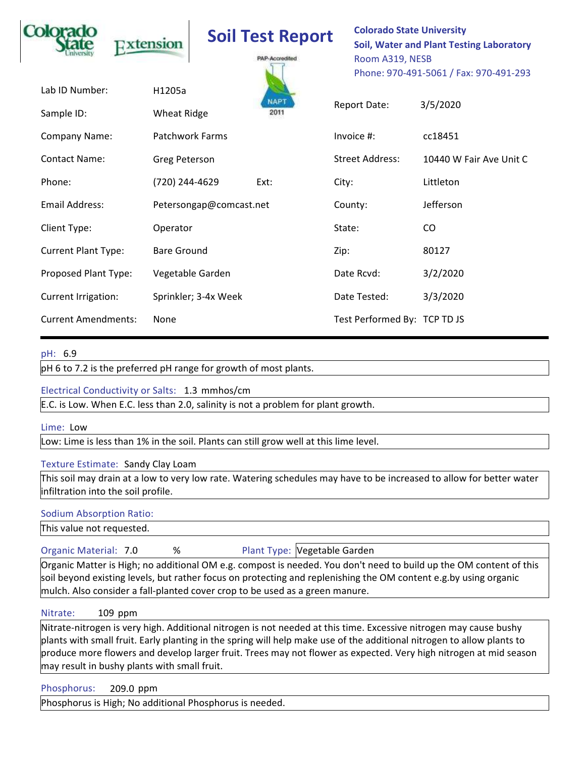|                              | Extension                    | <b>Soil Test Report</b><br>PAP-Accredited |         | <b>Colorado State University</b><br><b>Soil, Water and Plant Testing Laboratory</b><br>Room A319, NESB<br>Phone: 970-491-5061 / Fax: 970-491-293 |                         |  |
|------------------------------|------------------------------|-------------------------------------------|---------|--------------------------------------------------------------------------------------------------------------------------------------------------|-------------------------|--|
| Lab ID Number:<br>Sample ID: | H1205a<br><b>Wheat Ridge</b> | <b>NAPT</b><br>2011                       |         | Report Date:                                                                                                                                     | 3/5/2020                |  |
| Company Name:                | <b>Patchwork Farms</b>       |                                           |         | Invoice #:                                                                                                                                       | cc18451                 |  |
| <b>Contact Name:</b>         | Greg Peterson                |                                           |         | <b>Street Address:</b>                                                                                                                           | 10440 W Fair Ave Unit C |  |
| Phone:                       | (720) 244-4629               | Ext:                                      | City:   |                                                                                                                                                  | Littleton               |  |
| Email Address:               |                              | Petersongap@comcast.net                   | County: |                                                                                                                                                  | Jefferson               |  |
| Client Type:                 | Operator                     |                                           | State:  |                                                                                                                                                  | C <sub>O</sub>          |  |
| <b>Current Plant Type:</b>   | <b>Bare Ground</b>           |                                           | Zip:    |                                                                                                                                                  | 80127                   |  |
| Proposed Plant Type:         | Vegetable Garden             |                                           |         | Date Rcvd:                                                                                                                                       | 3/2/2020                |  |
| Current Irrigation:          |                              | Sprinkler; 3-4x Week                      |         | Date Tested:                                                                                                                                     | 3/3/2020                |  |
| <b>Current Amendments:</b>   | None                         |                                           |         | Test Performed By: TCP TD JS                                                                                                                     |                         |  |

# **pH: 6.9**

**pH 6 to 7.2 is the preferred pH range for growth of most plants.**

## **Electrical Conductivity or Salts: 1.3 mmhos/cm**

**E.C. is Low. When E.C. less than 2.0, salinity is not a problem for plant growth.**

### **Lime: Low**

**Low: Lime is less than 1% in the soil. Plants can still grow well at this lime level.**

### **Texture Estimate: Sandy Clay Loam**

**This soil may drain at a low to very low rate. Watering schedules may have to be increased to allow for better water infiltration into the soil profile.**

### **Sodium Absorption Ratio:**

**This value not requested.**

**Organic Material: 7.0**

**%**

**Plant Type: Vegetable Garden**

**Organic Matter is High; no additional OM e.g. compost is needed. You don't need to build up the OM content of this soil beyond existing levels, but rather focus on protecting and replenishing the OM content e.g.by using organic mulch. Also consider a fall-planted cover crop to be used as a green manure.**

#### **Nitrate:** 109 ppm

**Nitrate-nitrogen is very high. Additional nitrogen is not needed at this time. Excessive nitrogen may cause bushy plants with small fruit. Early planting in the spring will help make use of the additional nitrogen to allow plants to produce more flowers and develop larger fruit. Trees may not flower as expected. Very high nitrogen at mid season may result in bushy plants with small fruit.**

**Phosphorus: ppm**

**Phosphorus is High; No additional Phosphorus is needed.**